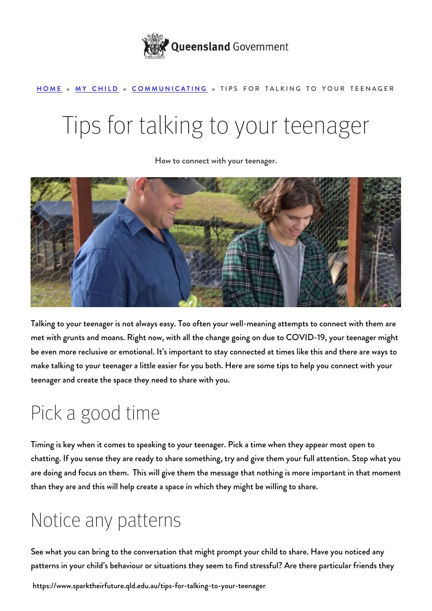

#### [HOME](https://www.sparktheirfuture.qld.edu.au/) » [MY CHILD](https://www.sparktheirfuture.qld.edu.au/category/my-child/) » [COMMUNICATING](https://www.sparktheirfuture.qld.edu.au/category/my-child/communicating/) » TIPS FOR TALKING TO YOUR TEENAGER

# Tips for talking to your teenager

How to connect with your teenager.



Talking to your teenager is not always easy. Too often your well-meaning attempts to connect with them are met with grunts and moans. Right now, with all the change going on due to COVID-19, your teenager might be even more reclusive or emotional. It's important to [stay connected](https://www.sparktheirfuture.qld.edu.au/how-can-i-make-a-difference/) at times like this and there are ways to make talking to your teenager a little easier for you both. Here are some tips to help you connect with your teenager and create the space they need to share with you.

### Pick a good time

Timing is key when it comes to speaking to your teenager. Pick a time when they appear most open to chatting. If you sense they are ready to share something, try and give them your full attention. Stop what you are doing and focus on them. This will give them the message that nothing is more important in that moment than they are and this will help create a space in which they might be willing to share.

### Notice any patterns

See what you can bring to the conversation that might prompt your child to share. Have you noticed any patterns in your child's behaviour or situations they seem to find [stressful?](https://www.sparktheirfuture.qld.edu.au/stress-and-your-teenager/) Are there particular friends they

https://www.sparktheirfuture.qld.edu.au/tips-for-talking-to-your-teenager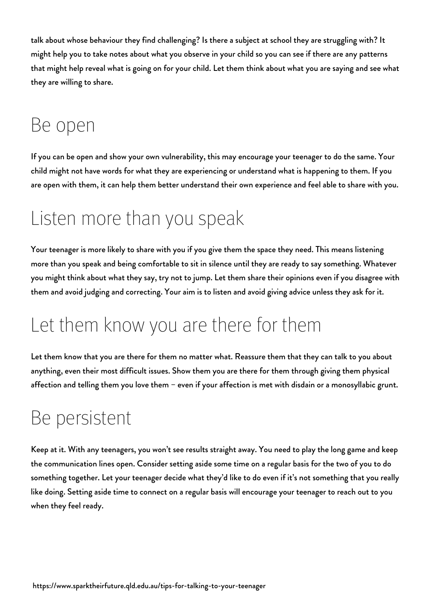talk about whose behaviour they find challenging? Is there a subject at school they are struggling with? It might help you to take notes about what you observe in your child so you can see if there are any patterns that might help reveal what is going on for your child. Let them think about what you are saying and see what they are willing to share.

### Be open

If you can be open and show your own vulnerability, this may encourage your teenager to do the same. Your child might not have words for what they are experiencing or understand what is happening to them. If you are open with them, it can help them better understand their own experience and feel able to share with you.

### Listen more than you speak

Your teenager is more likely to share with you if you give them the space they need. This means listening more than you speak and being comfortable to sit in silence until they are ready to say something. Whatever you might think about what they say, try not to jump. Let them share their opinions even if you disagree with them and avoid judging and correcting. Your aim is to listen and avoid giving advice unless they ask for it.

### Let them know you are there for them

Let them know that you are there for them no matter what. Reassure them that they can talk to you about anything, even their most difficult issues. Show them you are there for them through giving them physical affection and telling them you love them – even if your affection is met with disdain or a monosyllabic grunt.

### Be persistent

Keep at it. With any teenagers, you won't see results straight away. You need to play the long game and keep the communication lines open. Consider setting aside some time on a regular basis for the two of you to do something together. Let your teenager decide what they'd like to do even if it's not something that you really like doing. Setting aside time to connect on a regular basis will encourage your teenager to reach out to you when they feel ready.